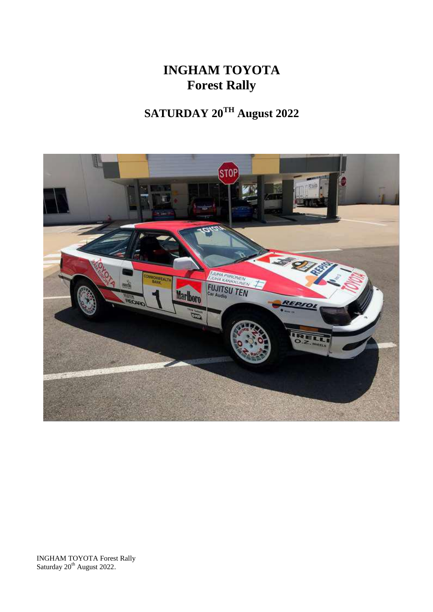# **INGHAM TOYOTA Forest Rally**

# **SATURDAY 20TH August 2022**



INGHAM TOYOTA Forest Rally Saturday 20<sup>th</sup> August 2022.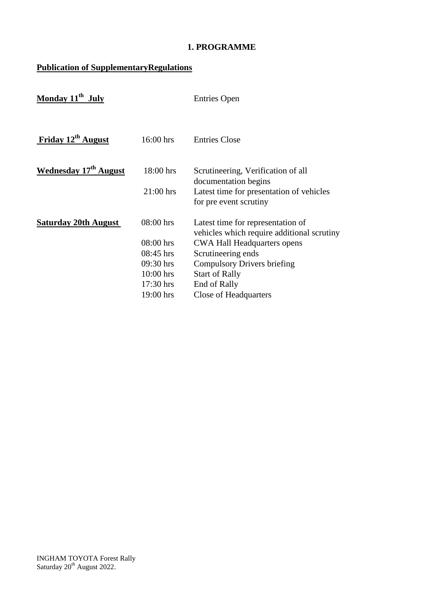# **1. PROGRAMME**

# **Publication of SupplementaryRegulations**

| Monday $11^{th}$ July          |             | <b>Entries Open</b>                                                             |
|--------------------------------|-------------|---------------------------------------------------------------------------------|
| Friday 12 <sup>th</sup> August | $16:00$ hrs | <b>Entries Close</b>                                                            |
| <b>Wednesday 17th August</b>   | 18:00 hrs   | Scrutineering, Verification of all<br>documentation begins                      |
|                                | $21:00$ hrs | Latest time for presentation of vehicles<br>for pre event scrutiny              |
| <b>Saturday 20th August</b>    | $08:00$ hrs | Latest time for representation of<br>vehicles which require additional scrutiny |
|                                | $08:00$ hrs | <b>CWA Hall Headquarters opens</b>                                              |
|                                | $08:45$ hrs | Scrutineering ends                                                              |
|                                | 09:30 hrs   | <b>Compulsory Drivers briefing</b>                                              |
|                                | $10:00$ hrs | <b>Start of Rally</b>                                                           |
|                                | $17:30$ hrs | End of Rally                                                                    |
|                                | $19:00$ hrs | Close of Headquarters                                                           |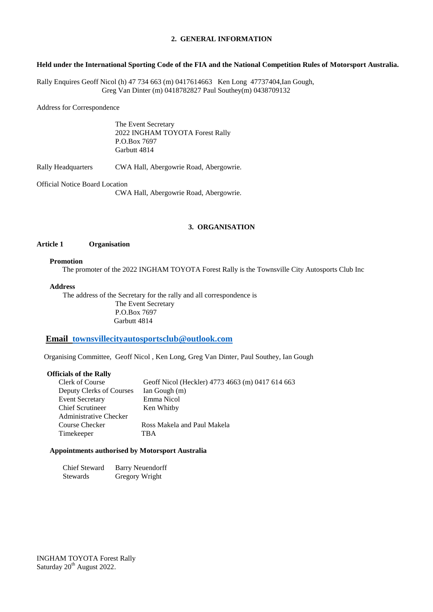#### **2. GENERAL INFORMATION**

#### **Held under the International Sporting Code of the FIA and the National Competition Rules of Motorsport Australia.**

Rally Enquires Geoff Nicol (h) 47 734 663 (m) 0417614663 Ken Long 47737404,Ian Gough, Greg Van Dinter (m) 0418782827 Paul Southey(m) 0438709132

Address for Correspondence

The Event Secretary 2022 INGHAM TOYOTA Forest Rally P.O.Box 7697 Garbutt 4814

Rally Headquarters CWA Hall, Abergowrie Road, Abergowrie.

Official Notice Board Location

CWA Hall, Abergowrie Road, Abergowrie.

### **3. ORGANISATION**

#### **Article 1 Organisation**

#### **Promotion**

The promoter of the 2022 INGHAM TOYOTA Forest Rally is the Townsville City Autosports Club Inc

#### **Address**

The address of the Secretary for the rally and all correspondence is The Event Secretary P.O.Box 7697 Garbutt 4814

### **Email [townsvillecityautosportsclub@outlook.com](mailto:townsvillecityautosportsclub@outlook.com)**

Organising Committee, Geoff Nicol , Ken Long, Greg Van Dinter, Paul Southey, Ian Gough

#### **Officials of the Rally**

| Clerk of Course          | Geoff Nicol (Heckler) 4773 4663 (m) 0417 614 663 |
|--------------------------|--------------------------------------------------|
| Deputy Clerks of Courses | Ian Gough (m)                                    |
| <b>Event Secretary</b>   | Emma Nicol                                       |
| <b>Chief Scrutineer</b>  | Ken Whitby                                       |
| Administrative Checker   |                                                  |
| Course Checker           | Ross Makela and Paul Makela                      |
| Timekeeper               | TBA                                              |
|                          |                                                  |

#### **Appointments authorised by Motorsport Australia**

| Chief Steward | <b>Barry Neuendorff</b> |
|---------------|-------------------------|
| Stewards      | Gregory Wright          |

INGHAM TOYOTA Forest Rally Saturday 20<sup>th</sup> August 2022.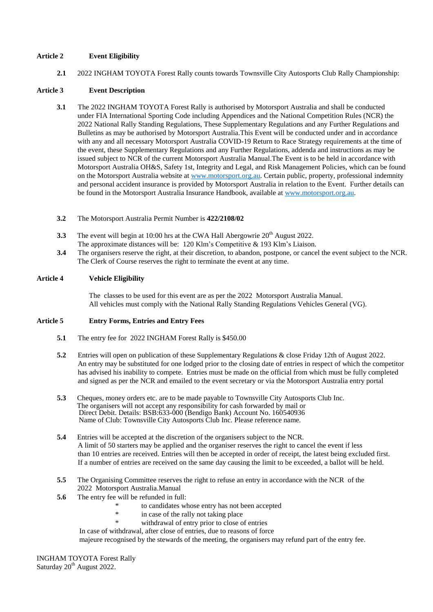#### **Article 2 Event Eligibility**

**2.1** 2022 INGHAM TOYOTA Forest Rally counts towards Townsville City Autosports Club Rally Championship:

#### **Article 3 Event Description**

- **3.1** The 2022 INGHAM TOYOTA Forest Rally is authorised by Motorsport Australia and shall be conducted under FIA International Sporting Code including Appendices and the National Competition Rules (NCR) the 2022 National Rally Standing Regulations, These Supplementary Regulations and any Further Regulations and Bulletins as may be authorised by Motorsport Australia.This Event will be conducted under and in accordance with any and all necessary Motorsport Australia COVID-19 Return to Race Strategy requirements at the time of the event, these Supplementary Regulations and any Further Regulations, addenda and instructions as may be issued subject to NCR of the current Motorsport Australia Manual.The Event is to be held in accordance with Motorsport Australia OH&S, Safety 1st, Integrity and Legal, and Risk Management Policies, which can be found on the Motorsport Australia website at [www.motorsport.org.au.](http://www.motorsport.org.au/) Certain public, property, professional indemnity and personal accident insurance is provided by Motorsport Australia in relation to the Event. Further details can be found in the Motorsport Australia Insurance Handbook, available at [www.motorsport.org.au.](http://www.motorsport.org.au/)
- **3.2** The Motorsport Australia Permit Number is **422/2108/02**
- **3.3** The event will begin at 10:00 hrs at the CWA Hall Abergowrie 20<sup>th</sup> August 2022. The approximate distances will be: 120 Klm's Competitive & 193 Klm's Liaison.
- **3.4** The organisers reserve the right, at their discretion, to abandon, postpone, or cancel the event subject to the NCR. The Clerk of Course reserves the right to terminate the event at any time.

#### **Article 4 Vehicle Eligibility**

The classes to be used for this event are as per the 2022 Motorsport Australia Manual. All vehicles must comply with the National Rally Standing Regulations Vehicles General (VG).

#### **Article 5 Entry Forms, Entries and Entry Fees**

- **5.1** The entry fee for 2022 INGHAM Forest Rally is \$450.00
- **5.2** Entries will open on publication of these Supplementary Regulations & close Friday 12th of August 2022. An entry may be substituted for one lodged prior to the closing date of entries in respect of which the competitor has advised his inability to compete. Entries must be made on the official from which must be fully completed and signed as per the NCR and emailed to the event secretary or via the Motorsport Australia entry portal
- **5.3** Cheques, money orders etc. are to be made payable to Townsville City Autosports Club Inc. The organisers will not accept any responsibility for cash forwarded by mail or Direct Debit. Details: BSB:633-000 (Bendigo Bank) Account No. 160540936 Name of Club: Townsville City Autosports Club Inc. Please reference name.
- **5.4** Entries will be accepted at the discretion of the organisers subject to the NCR. A limit of 50 starters may be applied and the organiser reserves the right to cancel the event if less than 10 entries are received. Entries will then be accepted in order of receipt, the latest being excluded first. If a number of entries are received on the same day causing the limit to be exceeded, a ballot will be held.
- **5.5** The Organising Committee reserves the right to refuse an entry in accordance with the NCR of the 2022 Motorsport Australia.Manual
- **5.6** The entry fee will be refunded in full:
	- \* to candidates whose entry has not been accepted
	- \* in case of the rally not taking place
	- withdrawal of entry prior to close of entries

In case of withdrawal, after close of entries, due to reasons of force

majeure recognised by the stewards of the meeting, the organisers may refund part of the entry fee.

INGHAM TOYOTA Forest Rally Saturday 20<sup>th</sup> August 2022.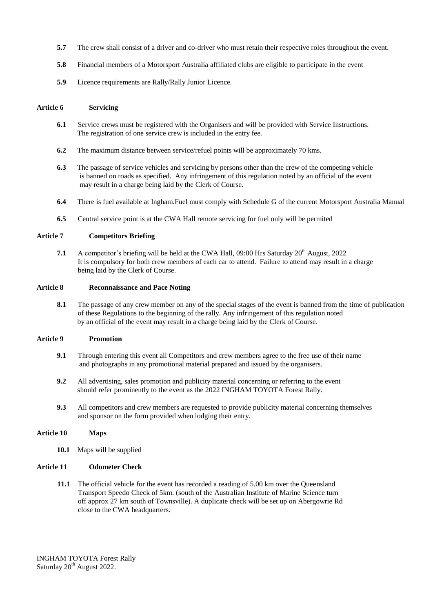- **5.7** The crew shall consist of a driver and co-driver who must retain their respective roles throughout the event.
- **5.8** Financial members of a Motorsport Australia affiliated clubs are eligible to participate in the event
- **5.9** Licence requirements are Rally/Rally Junior Licence.

#### **Article 6 Servicing**

- **6.1** Service crews must be registered with the Organisers and will be provided with Service Instructions. The registration of one service crew is included in the entry fee.
- **6.2** The maximum distance between service/refuel points will be approximately 70 kms.
- **6.3** The passage of service vehicles and servicing by persons other than the crew of the competing vehicle is banned on roads as specified. Any infringement of this regulation noted by an official of the event may result in a charge being laid by the Clerk of Course.
- **6.4** There is fuel available at Ingham.Fuel must comply with Schedule G of the current Motorsport Australia Manual
- **6.5** Central service point is at the CWA Hall remote servicing for fuel only will be permited

### **Article 7 Competitors Briefing**

**7.1** A competitor's briefing will be held at the CWA Hall,  $09:00$  Hrs Saturday  $20<sup>th</sup>$  August,  $2022$ It is compulsory for both crew members of each car to attend. Failure to attend may result in a charge being laid by the Clerk of Course.

#### **Article 8 Reconnaissance and Pace Noting**

**8.1** The passage of any crew member on any of the special stages of the event is banned from the time of publication of these Regulations to the beginning of the rally. Any infringement of this regulation noted by an official of the event may result in a charge being laid by the Clerk of Course.

#### **Article 9 Promotion**

- **9.1** Through entering this event all Competitors and crew members agree to the free use of their name and photographs in any promotional material prepared and issued by the organisers.
- **9.2** All advertising, sales promotion and publicity material concerning or referring to the event should refer prominently to the event as the 2022 INGHAM TOYOTA Forest Rally.
- **9.3** All competitors and crew members are requested to provide publicity material concerning themselves and sponsor on the form provided when lodging their entry.

#### **Article 10 Maps**

**10.1** Maps will be supplied

#### **Article 11 Odometer Check**

**11.1** The official vehicle for the event has recorded a reading of 5.00 km over the Queensland Transport Speedo Check of 5km. (south of the Australian Institute of Marine Science turn off approx 27 km south of Townsville). A duplicate check will be set up on Abergowrie Rd close to the CWA headquarters.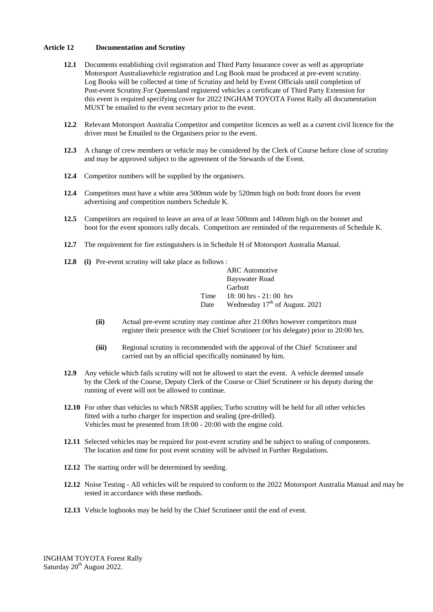#### **Article 12 Documentation and Scrutiny**

- **12.1** Documents establishing civil registration and Third Party Insurance cover as well as appropriate Motorsport Australiavehicle registration and Log Book must be produced at pre-event scrutiny. Log Books will be collected at time of Scrutiny and held by Event Officials until completion of Post-event Scrutiny.For Queensland registered vehicles a certificate of Third Party Extension for this event is required specifying cover for 2022 INGHAM TOYOTA Forest Rally all documentation MUST be emailed to the event secretary prior to the event.
- **12.2** Relevant Motorsport Australia Competitor and competitor licences as well as a current civil licence for the driver must be Emailed to the Organisers prior to the event.
- **12.3** A change of crew members or vehicle may be considered by the Clerk of Course before close of scrutiny and may be approved subject to the agreement of the Stewards of the Event.
- **12.4** Competitor numbers will be supplied by the organisers.
- **12.4** Competitors must have a white area 500mm wide by 520mm high on both front doors for event advertising and competition numbers Schedule K.
- **12.5** Competitors are required to leave an area of at least 500mm and 140mm high on the bonnet and boot for the event sponsors rally decals. Competitors are reminded of the requirements of Schedule K.
- **12.7** The requirement for fire extinguishers is in Schedule H of Motorsport Australia Manual.
- **12.8 (i)** Pre-event scrutiny will take place as follows :

|      | <b>ARC</b> Automotive                      |
|------|--------------------------------------------|
|      | Bayswater Road                             |
|      | Garbutt                                    |
| Time | $18:00$ hrs $-21:00$ hrs                   |
| Date | Wednesday 17 <sup>th</sup> of August. 2021 |

- **(ii)** Actual pre-event scrutiny may continue after 21:00hrs however competitors must register their presence with the Chief Scrutineer (or his delegate) prior to 20:00 hrs.
- **(iii)** Regional scrutiny is recommended with the approval of the Chief Scrutineer and carried out by an official specifically nominated by him.
- **12.9** Any vehicle which fails scrutiny will not be allowed to start the event. A vehicle deemed unsafe by the Clerk of the Course, Deputy Clerk of the Course or Chief Scrutineer or his deputy during the running of event will not be allowed to continue.
- **12.10** For other than vehicles to which NRSR applies; Turbo scrutiny will be held for all other vehicles fitted with a turbo charger for inspection and sealing (pre-drilled). Vehicles must be presented from 18:00 - 20:00 with the engine cold.
- **12.11** Selected vehicles may be required for post-event scrutiny and be subject to sealing of components. The location and time for post event scrutiny will be advised in Further Regulations.
- **12.12** The starting order will be determined by seeding.
- **12.12** Noise Testing All vehicles will be required to conform to the 2022 Motorsport Australia Manual and may be tested in accordance with these methods.
- **12.13** Vehicle logbooks may be held by the Chief Scrutineer until the end of event.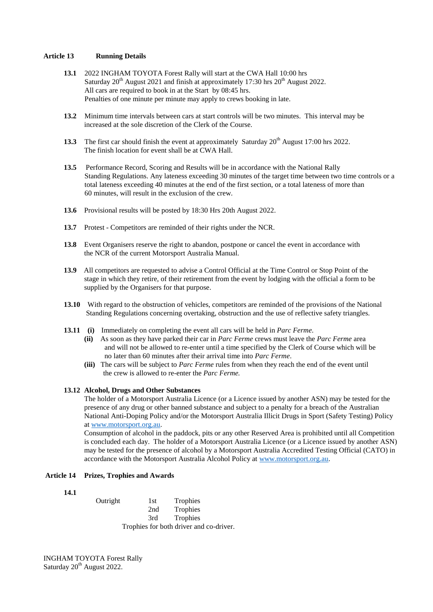#### **Article 13 Running Details**

- **13.1** 2022 INGHAM TOYOTA Forest Rally will start at the CWA Hall 10:00 hrs Saturday  $20<sup>th</sup>$  August 2021 and finish at approximately 17:30 hrs  $20<sup>th</sup>$  August 2022. All cars are required to book in at the Start by 08:45 hrs. Penalties of one minute per minute may apply to crews booking in late.
- **13.2** Minimum time intervals between cars at start controls will be two minutes. This interval may be increased at the sole discretion of the Clerk of the Course.
- **13.3** The first car should finish the event at approximately Saturday 20<sup>th</sup> August 17:00 hrs 2022. The finish location for event shall be at CWA Hall.
- **13.5** Performance Record, Scoring and Results will be in accordance with the National Rally Standing Regulations. Any lateness exceeding 30 minutes of the target time between two time controls or a total lateness exceeding 40 minutes at the end of the first section, or a total lateness of more than 60 minutes, will result in the exclusion of the crew.
- **13.6** Provisional results will be posted by 18:30 Hrs 20th August 2022.
- **13.7** Protest Competitors are reminded of their rights under the NCR.
- **13.8** Event Organisers reserve the right to abandon, postpone or cancel the event in accordance with the NCR of the current Motorsport Australia Manual.
- **13.9** All competitors are requested to advise a Control Official at the Time Control or Stop Point of the stage in which they retire, of their retirement from the event by lodging with the official a form to be supplied by the Organisers for that purpose.
- **13.10** With regard to the obstruction of vehicles, competitors are reminded of the provisions of the National Standing Regulations concerning overtaking, obstruction and the use of reflective safety triangles.
- **13.11 (i)** Immediately on completing the event all cars will be held in *Parc Ferme*.
	- **(ii)** As soon as they have parked their car in *Parc Ferme* crews must leave the *Parc Ferme* area and will not be allowed to re-enter until a time specified by the Clerk of Course which will be no later than 60 minutes after their arrival time into *Parc Ferme*.
	- **(iii)** The cars will be subject to *Parc Ferme* rules from when they reach the end of the event until the crew is allowed to re-enter the *Parc Ferme.*

#### **13.12 Alcohol, Drugs and Other Substances**

The holder of a Motorsport Australia Licence (or a Licence issued by another ASN) may be tested for the presence of any drug or other banned substance and subject to a penalty for a breach of the Australian National Anti-Doping Policy and/or the Motorsport Australia Illicit Drugs in Sport (Safety Testing) Policy a[t www.motorsport.org.au.](http://www.motorsport.org.au/)

Consumption of alcohol in the paddock, pits or any other Reserved Area is prohibited until all Competition is concluded each day. The holder of a Motorsport Australia Licence (or a Licence issued by another ASN) may be tested for the presence of alcohol by a Motorsport Australia Accredited Testing Official (CATO) in accordance with the Motorsport Australia Alcohol Policy at [www.motorsport.org.au.](http://www.motorsport.org.au/)

#### **Article 14 Prizes, Trophies and Awards**

**14.1**

Outright 1st Trophies 2nd Trophies 3rd Trophies Trophies for both driver and co-driver.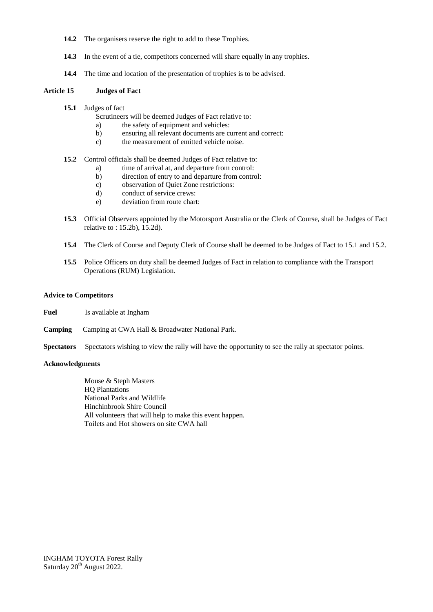- **14.2** The organisers reserve the right to add to these Trophies.
- 14.3 In the event of a tie, competitors concerned will share equally in any trophies.
- **14.4** The time and location of the presentation of trophies is to be advised.

#### **Article 15 Judges of Fact**

- **15.1** Judges of fact
	- Scrutineers will be deemed Judges of Fact relative to:
	- a) the safety of equipment and vehicles:
	- b) ensuring all relevant documents are current and correct:
	- c) the measurement of emitted vehicle noise.

#### **15.2** Control officials shall be deemed Judges of Fact relative to:

- a) time of arrival at, and departure from control:
- b) direction of entry to and departure from control:
- c) observation of Quiet Zone restrictions:
- d) conduct of service crews:
- e) deviation from route chart:
- **15.3** Official Observers appointed by the Motorsport Australia or the Clerk of Course, shall be Judges of Fact relative to : 15.2b), 15.2d).
- **15.4** The Clerk of Course and Deputy Clerk of Course shall be deemed to be Judges of Fact to 15.1 and 15.2.
- **15.5** Police Officers on duty shall be deemed Judges of Fact in relation to compliance with the Transport Operations (RUM) Legislation.

#### **Advice to Competitors**

- **Fuel** Is available at Ingham
- **Camping** Camping at CWA Hall & Broadwater National Park.
- **Spectators** Spectators wishing to view the rally will have the opportunity to see the rally at spectator points.

#### **Acknowledgments**

Mouse & Steph Masters HQ Plantations National Parks and Wildlife Hinchinbrook Shire Council All volunteers that will help to make this event happen. Toilets and Hot showers on site CWA hall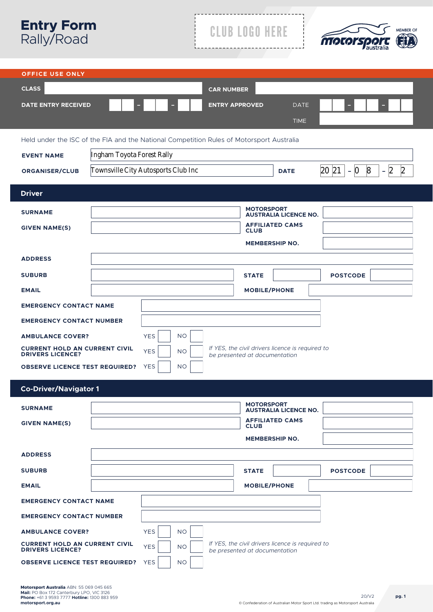| <b>Entry Form</b><br>Rally/Road                                                                                                                                                 |                                     | <b>CLUB LOGO HERE</b>                                  | <b>MEMBER OF</b><br>MOLOrSA                               |
|---------------------------------------------------------------------------------------------------------------------------------------------------------------------------------|-------------------------------------|--------------------------------------------------------|-----------------------------------------------------------|
| <b>OFFICE USE ONLY</b>                                                                                                                                                          |                                     |                                                        |                                                           |
| <b>CLASS</b>                                                                                                                                                                    | <b>CAR NUMBER</b>                   |                                                        |                                                           |
| <b>DATE ENTRY RECEIVED</b>                                                                                                                                                      |                                     | <b>ENTRY APPROVED</b><br><b>DATE</b>                   |                                                           |
|                                                                                                                                                                                 |                                     | <b>TIME</b>                                            |                                                           |
| Held under the ISC of the FIA and the National Competition Rules of Motorsport Australia                                                                                        |                                     |                                                        |                                                           |
| Ingham Toyota Forest Rally<br><b>EVENT NAME</b>                                                                                                                                 |                                     |                                                        |                                                           |
| <b>ORGANISER/CLUB</b>                                                                                                                                                           | Townsville City Autosports Club Inc | <b>DATE</b>                                            | 20 21<br>$-2$<br>$\boldsymbol{8}$<br>$\mathbf{2}$<br>$-0$ |
| <b>Driver</b>                                                                                                                                                                   |                                     |                                                        |                                                           |
| <b>SURNAME</b>                                                                                                                                                                  |                                     | <b>MOTORSPORT</b>                                      |                                                           |
|                                                                                                                                                                                 |                                     | <b>AUSTRALIA LICENCE NO.</b><br><b>AFFILIATED CAMS</b> |                                                           |
| <b>GIVEN NAME(S)</b>                                                                                                                                                            |                                     | <b>CLUB</b><br><b>MEMBERSHIP NO.</b>                   |                                                           |
| <b>ADDRESS</b>                                                                                                                                                                  |                                     |                                                        |                                                           |
|                                                                                                                                                                                 |                                     |                                                        |                                                           |
| <b>SUBURB</b>                                                                                                                                                                   |                                     | <b>STATE</b>                                           | <b>POSTCODE</b>                                           |
| <b>EMAIL</b>                                                                                                                                                                    |                                     | <b>MOBILE/PHONE</b>                                    |                                                           |
| <b>EMERGENCY CONTACT NAME</b><br><b>EMERGENCY CONTACT NUMBER</b>                                                                                                                |                                     |                                                        |                                                           |
| <b>AMBULANCE COVER?</b>                                                                                                                                                         | <b>YES</b><br><b>NO</b>             |                                                        |                                                           |
| <b>CURRENT HOLD AN CURRENT CIVIL</b>                                                                                                                                            | <b>YES</b><br><b>NO</b>             | If YES, the civil drivers licence is required to       |                                                           |
| <b>DRIVERS LICENCE?</b><br><b>OBSERVE LICENCE TEST REQUIRED?</b>                                                                                                                | <b>YES</b><br><b>NO</b>             | be presented at documentation                          |                                                           |
|                                                                                                                                                                                 |                                     |                                                        |                                                           |
| <b>Co-Driver/Navigator 1</b>                                                                                                                                                    |                                     |                                                        |                                                           |
| <b>SURNAME</b>                                                                                                                                                                  |                                     | <b>MOTORSPORT</b><br><b>AUSTRALIA LICENCE NO.</b>      |                                                           |
| <b>GIVEN NAME(S)</b>                                                                                                                                                            |                                     | <b>AFFILIATED CAMS</b><br><b>CLUB</b>                  |                                                           |
|                                                                                                                                                                                 |                                     | <b>MEMBERSHIP NO.</b>                                  |                                                           |
| <b>ADDRESS</b>                                                                                                                                                                  |                                     |                                                        |                                                           |
| <b>SUBURB</b>                                                                                                                                                                   |                                     | <b>STATE</b>                                           | <b>POSTCODE</b>                                           |
| <b>EMAIL</b>                                                                                                                                                                    |                                     | <b>MOBILE/PHONE</b>                                    |                                                           |
| <b>EMERGENCY CONTACT NAME</b>                                                                                                                                                   |                                     |                                                        |                                                           |
| <b>EMERGENCY CONTACT NUMBER</b>                                                                                                                                                 |                                     |                                                        |                                                           |
| <b>AMBULANCE COVER?</b>                                                                                                                                                         | <b>YES</b><br><b>NO</b>             |                                                        |                                                           |
| If YES, the civil drivers licence is required to<br><b>CURRENT HOLD AN CURRENT CIVIL</b><br><b>YES</b><br><b>NO</b><br><b>DRIVERS LICENCE?</b><br>be presented at documentation |                                     |                                                        |                                                           |
| <b>OBSERVE LICENCE TEST REQUIRED?</b>                                                                                                                                           | <b>YES</b><br><b>NO</b>             |                                                        |                                                           |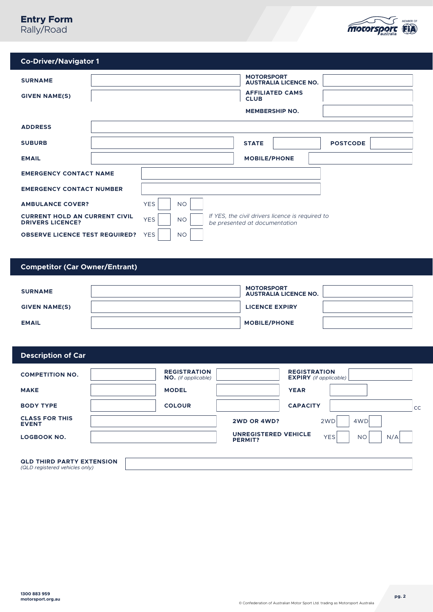# **Entry Form**

Rally/Road



| <b>Co-Driver/Navigator 1</b> |
|------------------------------|
|                              |

| <b>SURNAME</b><br><b>GIVEN NAME(S)</b>                          | <b>MOTORSPORT</b><br><b>AUSTRALIA LICENCE NO.</b><br><b>AFFILIATED CAMS</b><br><b>CLUB</b><br><b>MEMBERSHIP NO.</b> |
|-----------------------------------------------------------------|---------------------------------------------------------------------------------------------------------------------|
| <b>ADDRESS</b>                                                  |                                                                                                                     |
| <b>SUBURB</b>                                                   | <b>POSTCODE</b><br><b>STATE</b>                                                                                     |
| <b>EMAIL</b>                                                    | <b>MOBILE/PHONE</b>                                                                                                 |
| <b>EMERGENCY CONTACT NAME</b>                                   |                                                                                                                     |
| <b>EMERGENCY CONTACT NUMBER</b>                                 |                                                                                                                     |
| <b>AMBULANCE COVER?</b>                                         | <b>YES</b><br><b>NO</b>                                                                                             |
| <b>CURRENT HOLD AN CURRENT CIVIL</b><br><b>DRIVERS LICENCE?</b> | If YES, the civil drivers licence is required to<br><b>YES</b><br><b>NO</b><br>be presented at documentation        |
| <b>OBSERVE LICENCE TEST REQUIRED?</b>                           | <b>YES</b><br><b>NO</b>                                                                                             |

# **Competitor (Car Owner/Entrant)**

| <b>SURNAME</b>       | <b>MOTORSPORT</b><br><b>AUSTRALIA LICENCE NO.</b> |  |
|----------------------|---------------------------------------------------|--|
| <b>GIVEN NAME(S)</b> | <b>LICENCE EXPIRY</b>                             |  |
| <b>EMAIL</b>         | <b>MOBILE/PHONE</b>                               |  |

# **Description of Car**

| <b>COMPETITION NO.</b>                | <b>REGISTRATION</b><br><b>NO.</b> (if applicable) | <b>REGISTRATION</b><br><b>EXPIRY</b> (if applicable)                            |           |
|---------------------------------------|---------------------------------------------------|---------------------------------------------------------------------------------|-----------|
| <b>MAKE</b>                           | <b>MODEL</b>                                      | <b>YEAR</b>                                                                     |           |
| <b>BODY TYPE</b>                      | <b>COLOUR</b>                                     | <b>CAPACITY</b>                                                                 | <b>CC</b> |
| <b>CLASS FOR THIS</b><br><b>EVENT</b> |                                                   | 4WD<br>2WD OR 4WD?<br>2WD                                                       |           |
| <b>LOGBOOK NO.</b>                    |                                                   | <b>UNREGISTERED VEHICLE</b><br><b>YES</b><br>N/A<br><b>NO</b><br><b>PERMIT?</b> |           |
| OI D THIDD DADTY EYTENCION            |                                                   |                                                                                 |           |

**QLD THIRD PARTY EXTENSION**  *(QLD registered vehicles only)*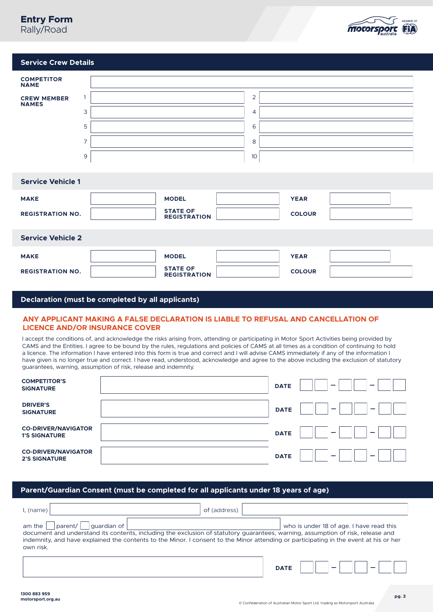# **Entry Form** Rally/Road



### **Service Crew Details**

| <b>COMPETITOR</b><br><b>NAME</b>   |                |                                        |    |               |  |
|------------------------------------|----------------|----------------------------------------|----|---------------|--|
| <b>CREW MEMBER</b><br><b>NAMES</b> | 1              |                                        | 2  |               |  |
|                                    | 3              |                                        | 4  |               |  |
|                                    | 5              |                                        | 6  |               |  |
|                                    | $\overline{7}$ |                                        | 8  |               |  |
|                                    | 9              |                                        | 10 |               |  |
|                                    |                |                                        |    |               |  |
| <b>Service Vehicle 1</b>           |                |                                        |    |               |  |
| <b>MAKE</b>                        |                | <b>MODEL</b>                           |    | <b>YEAR</b>   |  |
| <b>REGISTRATION NO.</b>            |                | <b>STATE OF</b><br><b>REGISTRATION</b> |    | <b>COLOUR</b> |  |
|                                    |                |                                        |    |               |  |
| <b>Service Vehicle 2</b>           |                |                                        |    |               |  |
| <b>MAKE</b>                        |                | <b>MODEL</b>                           |    | <b>YEAR</b>   |  |
| <b>REGISTRATION NO.</b>            |                | <b>STATE OF</b><br><b>REGISTRATION</b> |    | <b>COLOUR</b> |  |

#### **Declaration (must be completed by all applicants)**

#### **ANY APPLICANT MAKING A FALSE DECLARATION IS LIABLE TO REFUSAL AND CANCELLATION OF LICENCE AND/OR INSURANCE COVER**

I accept the conditions of, and acknowledge the risks arising from, attending or participating in Motor Sport Activities being provided by CAMS and the Entities. I agree to be bound by the rules, regulations and policies of CAMS at all times as a condition of continuing to hold a licence. The information I have entered into this form is true and correct and I will advise CAMS immediately if any of the information I have given is no longer true and correct. I have read, understood, acknowledge and agree to the above including the exclusion of statutory guarantees, warning, assumption of risk, release and indemnity.

| <b>COMPETITOR'S</b><br><b>SIGNATURE</b>            | <b>DATE</b><br>-<br>-                        |
|----------------------------------------------------|----------------------------------------------|
| <b>DRIVER'S</b><br><b>SIGNATURE</b>                | <b>DATE</b><br>$\overline{\phantom{0}}$<br>- |
| <b>CO-DRIVER/NAVIGATOR</b><br><b>1'S SIGNATURE</b> | <b>DATE</b><br>-<br>-                        |
| <b>CO-DRIVER/NAVIGATOR</b><br><b>2'S SIGNATURE</b> | <b>DATE</b><br>-                             |

#### **Parent/Guardian Consent (must be completed for all applicants under 18 years of age)**

| l, (name)                                    | of (address)                                                                                                                                                                                                                                                                                                         |
|----------------------------------------------|----------------------------------------------------------------------------------------------------------------------------------------------------------------------------------------------------------------------------------------------------------------------------------------------------------------------|
| parent/   quardian of<br>am the<br>own risk. | who is under 18 of age. I have read this<br>document and understand its contents, including the exclusion of statutory guarantees, warning, assumption of risk, release and<br>indemnity, and have explained the contents to the Minor. I consent to the Minor attending or participating in the event at his or her |
|                                              | <b>DATE</b>                                                                                                                                                                                                                                                                                                          |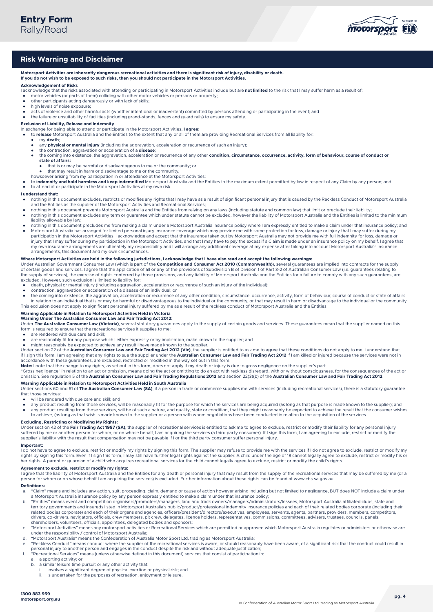

#### **Risk Warning and Disclaimer**

Motorsport Activities are inherently dangerous recreational activities and there is significant risk of injury, disability or death.<br>If you do not wish to be exposed to such risks, then you should not participate in the Mo

#### **Acknowledgement of Risks**

- I acknowledge that the risks associated with attending or participating in Motorsport Activities include but are **not limited** to the risk that I may suffer harm as a result of:
- motor vehicles (or parts of them) colliding with other motor vehicles or persons or property;
- other participants acting dangerously or with lack of skills; high levels of noise exposure;
- 
- acts of violence and other harmful acts (whether intentional or inadvertent) committed by persons attending or participating in the event; and and the failure or unsuitability of facilities (including grand-stands, fences

**Exclusion of Liability, Release and Indemnity** In exchange for being able to attend or participate in the Motorsport Activities, **I agree:** 

- to **release** Motorsport Australia and the Entities to the extent that any or all of them are providing Recreational Services from all liability for:<br>A my death
	- my **death**;
	- any **physical or mental injury** (including the aggravation, acceleration or recurrence of such an injury);
	-
	- the contraction, aggravation or acceleration of a **disease**;<br>• the coming into existence, the aggravation, acceleration or recurrence of any other **condition, circumstance, occurrence, activity, form of behaviour, course state of affairs:**
		- that is or may be harmful or disadvantageous to me or the community; or
		- that he or may be harmlar or disadvantage to me or the community,
- 
- howsoever arising from my participation in or attendance at the Motorsport Activities;<br>• to **indemnify and hold harmless and keep indemnified** Motorsport Australia and the Entities to the maximum extent permitted by law in to attend at or participate in the Motorsport Activities at my own risk.
- 

#### **I understand that:**

- nothing in this document excludes, restricts or modifies any rights that I may have as a result of significant personal injury that is caused by the Reckless Conduct of Motorsport Australia and the Entities as the supplier
- nothing in this document prevents Motorsport Australia and the Entities from relying on any laws (including statute and common law) that limit or preclude their liability;
- nothing in this document excludes any term or guarantee which under statute cannot be excluded, however the liability of Motorsport Australia and the Entities is limited to the minimum liability allowable by law;
- nothing in this document precludes me from making a claim under a Motorsport Australia insurance policy where I am expressly entitled to make a claim under that insurance policy; and<br>● Motorsport Australia has arranged participation in the Motorsport Activities. I acknowledge and accept that the insurance taken out by Motorsport Australia may not provide me with full indemnity for loss, damage or injury that I may suffer during my participation in the Motorsport Activities, and that I may have to pay the excess if a Claim is made under an insurance policy on my behalf. I agree that<br>my own insurance arrangements are arrangements, this document and my own circumstances.

#### **Where Motorsport Activities are held in the following jurisdictions, I acknowledge that I have also read and accept the following warnings:**

Under Australian Government Consumer Law (which is part of the **Competition and Consumer Act 2010 (Commonwealth)**), several guarantees are implied into contracts for the supply<br>of certain goods and services. I agree that t the supply of services), the exercise of rights conferred by those provisions, and any liability of Motorsport Australia and the Entities for a failure to comply with any such guarantees, are excluded. However, such exclusion is limited to liability for:

- death, physical or mental injury (including aggravation, acceleration or recurrence of such an injury of the individual);
- contraction, aggravation or acceleration of a disease of an individual; or
- the coming into existence, the aggravation, acceleration or recurrence of any other condition, circumstance, occurrence, activity, form of behaviour, course of conduct or state of affairs in relation to an individual that is or may be harmful or disadvantageous to the individual or the community, or that may result in harm or disadvantage to the individual or the community. This exclusion does not apply to

#### **Warning Applicable in Relation to Motorsport Activities Held in Victoria**

**Warning Under The Australian Consumer Law and Fair Trading Act 2012:** 

Under **The Australian Consumer Law (Victoria)**, several statutory guarantees apply to the supply of certain goods and services. These guarantees mean that the supplier named on this form is required to ensure that the recreational services it supplies to me:

- are rendered with due care and skill;
- are reasonably fit for any purpose which I either expressly or by implication, make known to the supplier; and
- might reasonably be expected to achieve any result I have made known to the supplier.

Under section 22 of the **Australian Consumer Law and Fair Trading Act 2012 (Vic)**, the supplier is entitled to ask me to agree that these conditions do not apply to me. I understand that if I sign this form, I am agreeing that any rights to sue the supplier under the **Australian Consumer Law and Fair Trading Act 2012** if I am killed or injured because the services were not in

accordance with these guarantees, are excluded, restricted or modified in the way set out in this form.<br>**Note:** I note that the change to my rights, as set out in this form, does not apply if my death or injury is due to g

"Gross negligence" in relation to an act or omission, means doing the act or omitting to do an act with reckless disregard, with or without consciousness, for the consequences of the act or omission. See regulation 5 of the **Australian Consumer Law and Fair Trading Regulations 2012** and section 22(3)(b) of the **Australian Consumer Law and Fair Trading Act 2012**.

#### **Warning Applicable in Relation to Motorsport Activities Held in South Australia**

Under sections 60 and 61 of The Australian Consumer Law (SA), if a person in trade or commerce supplies me with services (including recreational services), there is a statutory quarantee that those services:

- will be rendered with due care and skill; and
- we consider the sum of the services, will be reasonably fit for the purpose for which the services are being acquired (as long as that purpose is made known to the supplier); and any product resulting from those services, any product resulting from those services, will be of such a nature, and quality, state or condition, that they might reasonably be expected to achieve the result that the consumer wishes to achieve, (as long as that wish is made known to the supplier or a person with whom negotiations have been conducted in relation to the acquisition of the services.

#### **Excluding, Restricting or Modifying My Rights:**

Under section 42 of the **Fair Trading Act 1987 (SA)**, the supplier of recreational services is entitled to ask me to agree to exclude, restrict or modify their liability for any personal injury<br>suffered by me or another pe supplier's liability with the result that compensation may not be payable if I or the third party consumer suffer personal injury.

#### **Important:**

... Lo not have to agree to exclude, restrict or modify my rights by signing this form. The supplier may refuse to provide me with the services if I do not agree to exclude, restrict or modify my rights by signing this form. Even if I sign this form, I may still have further legal rights against the supplier. A child under the age of 18 cannot legally agree to exclude, restrict or modify his or her rights. A parent or guardian of a child who acquires recreational services for the child cannot legally agree to exclude, restrict or modify the child's rights.

#### **Agreement to exclude, restrict or modify my rights:**

I agree that the liability of Motorsport Australia and the Entities for any death or personal injury that may result from the supply of the recreational services that may be suffered by me (or a person for whom or on whose behalf I am acquiring the services) is excluded. Further information about these rights can be found at www.cbs.sa.gov.au

#### **Definitions:**

- a. "Claim" means and includes any action, suit, proceeding, claim, demand or cause of action however arising including but not limited to negligence, BUT does NOT include a claim under
- a Motorsport Australia insurance policy by any person expressly entitled to make a claim under that insurance policy;<br>b. "Entities" means event and competition organisers/promoters/managers, land and track owners/managers/ territory governments and insureds listed in Motorsport Australia's public/product/professional indemnity insurance policies and each of their related bodies corporate (including their<br>related bodies corporate) and each of drivers, co-drivers, navigators, officials, crew members, pit crew, delegates, licence holders, representatives, commissions, committees, advisers, trustees, councils, panels, shareholders, volunteers, officials, appointees, delegated bodies and sponsors;
- c. "Motorsport Activities" means any motorsport activities or Recreational Services which are permitted or approved which Motorsport Australia regulates or administers or otherwise are<br>under the responsibility / control of
- d. "Motorsport Australia" means the Confederation of Australia Motor Sport Ltd. trading as Motorsport Australia;
- e. "Reckless Conduct" means conduct where the supplier of the recreational services is aware, or should reasonably have been aware, of a significant risk that the conduct could result in
- , personal injury to another person and engages in the conduct despite the risk and without adequate justification;<br>f. "Recreational Services" means (unless otherwise defined in this document) services that consist of
	- a. a sporting activity; or
	-
	- b. a similar leisure time pursuit or any other activity that: i. involves a significant degree of physical exertion or physical risk; and
		- ii. is undertaken for the purposes of recreation, enjoyment or leisure.